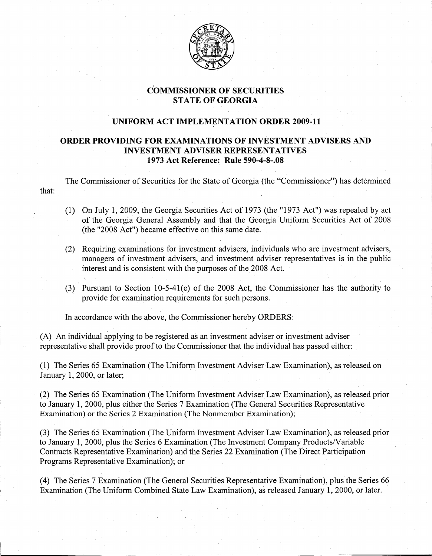

## **COMMISSIONER OF SECURITIES STATE** OF GEORGIA

## **UNIFORM ACT IMPLEMENTATION ORDER 2009-11**

## **ORDER PROVIDING FOR EXAMINATIONS OF INVESTMENT ADVISERS AND INVESTMENT** ADVISER REPRESENTATIVES **1973 Act Reference: Rule 590-4-8-.08**

The Commissioner of Securities for the State of Georgia (the "Commissioner") has determined that:

- (1)- On July 1, 2009, the Georgia Securities Act of 1973 (the "1973 Act") was repealed by act of the Georgia General Assembly and that the Georgia Uniform Securities Act of 2008 (the "2008 Act") became effective on this same date.
- (2)- Requiring examinations for investment advisers, individuals who are investment advisers, managers of investment advisers, and investment adviser representatives is in the public interest and is consistent with the purposes of the 2008 Act.
- (3)- Pursuant to Section 10-5-41(e) of the 2008 Act, the Commissioner has the authority to provide for examination requirements for such persons.

In accordance with the above, the Commissioner hereby ORDERS:

(A) An individual applying to be registered as an investment adviser or investment adviser representative shall provide proof to the Commissioner that the individual has passed either: .

(1) The Series 65 Examination (The Uniform Investment Adviser Law Examination), as released on January 1, 2000, or later;

(2) The Series 65 Examination (The Uniform Investment AdviserLaw Examination), as released prior to January 1, 2000, plus either the Series 7 Examination (The General Securities Representative Examination) or the Series 2 Examination (The Nonmember Examination);

(3) The Series 65 Examination (The Uniform Investment Adviser Law Examination), as released prior to January 1, 2000, plus the Series 6 Examination (The Investment Company Products/Variable Contracts Representative Examination) and the Series 22 Examination (The Direct Participation Programs Representative Examination); or

(4) The Series 7 Examination (The General Securities Representative Examination), plus the Series 66 Examination (The Uniform Combined State Law Examination), as released January 1,2000, or later.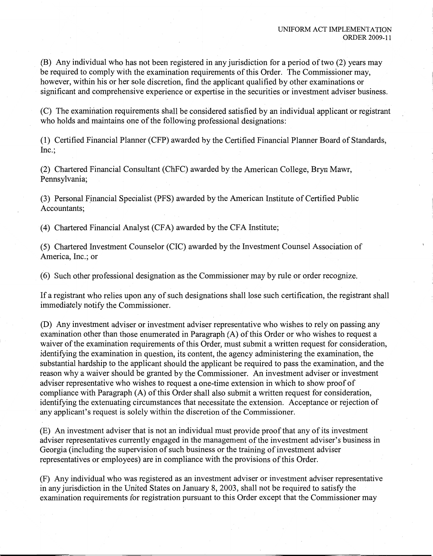(B) Any individual who has not been registered in any jurisdiction for a period of two  $(2)$  years may be required to comply with the examination requirements of this Order. The Commissioner may, however, within his or her sole discretion, find the applicant qualified by other examinations or significant and comprehensive experience or expertise in the securities or investment adviser business.

(C) The examination requirements shall be considered satisfied by an individual applicant or registrant who holds and maintains one of the following professional designations:

(1) Certified Financial Planner (CFP) awarded by the Certified Financial Planner Board of Standards, Inc.;

(2) Chartered Financial Consultant (ChFC) awarded by the American College, Bryn Mawr, Pennsylvania;

(3) Personal Financial Specialist (PFS) awarded by the American Institute of Certified Public Accountants;

(4) Chartered Financial Analyst (CFA) awarded by the CFA Institute;

(5) Chartered Investment Counselor (CIC) awarded by the Investment Counsel Association of America, Inc.; or

(6) Such other professional designation as the Commissioner may by rule or order recognize.

If a registrant who relies upon any of such designations shall lose such certification, the registrant shall immediately notify the Commissioner.

(D) Any investment adviser or investment adviser representative who wishes to rely on passing any examination other than those enumerated in Paragraph (A) of this Order or who wishes to request a waiver of the examination requirements of this Order, must submit a written request for consideration, identifying the examination in question, its content, the agency administering the examination, the substantial hardship to the applicant should the applicant be required to pass the examination, and the reason why a waiver should be granted by the Commissioner. An investment adviser or investment adviser representative who wishes to request a one-time extension in which to show proof of compliance with Paragraph (A) of this Order shall also submit a written request for consideration, identifying the extenuating circumstances that necessitate the extension. Acceptance or rejection of any applicant's request is solely within the discretion of the Commissioner.

(E) An investment adviser that is not an individual must provide proof that any ofits investment adviser representatives currently engaged in the management of the investment adviser's business in Georgia (including the supervision of such business or the training of investment adviser representatives or employees) are in compliance with the provisions of this Order.

(F) Any individual who was registered as an investment adviser or investment adviser representative in any jurisdiction in the United States on January 8, 2003, shall not be required to satisfy the examination requirements for registration pursuant to this Order except that the Commissioner may